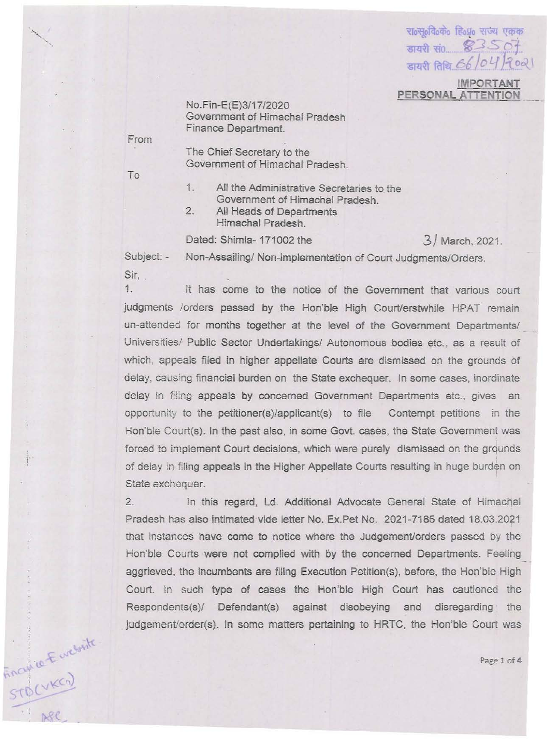राoस्oविoके हिoप्रo सज्य एकक  $\overline{\phantom{0}}$  and  $\overline{\phantom{0}}$  and  $\overline{\phantom{0}}$ डायरी तिथि 66/04/2021 **IMPORTANT** 

**PERSONAL ATTENTION** 

No.Fin-E(E)3/17/2020 **Govemment of Himachal Pradesh Finance Department.** 

**From** 

To

noutre-Europate

The Chief Secretary to the Government of Himachal Pradesh.

- **1. All the Administrative Secretaries to the**  Government of Himachal Pradesh.
- 2. All Heads of Departments Himachal Pradesh.

Dated: Shimla- 171002 the 3/ March, 2021.

**Subject: - Non-Assailing/ Non-implementation of Court Judgments/Orders. Sir,** 

1. It has come to the notice of the Government that various court judgments /orders passed by the Hon'ble High Court/erstwhile HPAT remain **un-attended for months together at the level of the Government Departments/ Universities! Public Sector Undertakings! Autonomous bodies etc., as a result of**  which, appeals filed in higher appellate Courts are dismissed on the grounds of **delay, causing financial burden on the State exchequer. In some cases, inordinate**  delay in filing appeals by concerned Government Departments etc., gives an opportunity to the petitioner(s)/applicant(s) to file  $\blacksquare$  Contempt petitions in the Hon'ble Court(s). In the past also, in some Govt. cases, the State Government was forced to implement Court decisions, which were purely dismissed on the grounds **of delay in filing appeals in the Higher Appellate Courts resulting in huge burden on State exchequer.** 

2. In this regard, Ld. Additional Advocate General State of Himachal Pradesh has also intimated vide letter No. Ex,Pet No. 2021-7185 dated 18.03.2021 **that instances have come to notice where the Judgement/orders passed by the**  Hon'ble Courts were not complied with by the concerned Departments. Feeling aggrieved, the incumbents are filing Execution Petition(s), before, the Hon'ble High Court. In such type of cases the Hon'ble High Court has cautioned the **Respondents(s)! Defendant(s) against disobeying and disregarding the**  judgement/order(s). In some matters pertaining to HRTC, the Hon'ble Court was

Page 1 of 4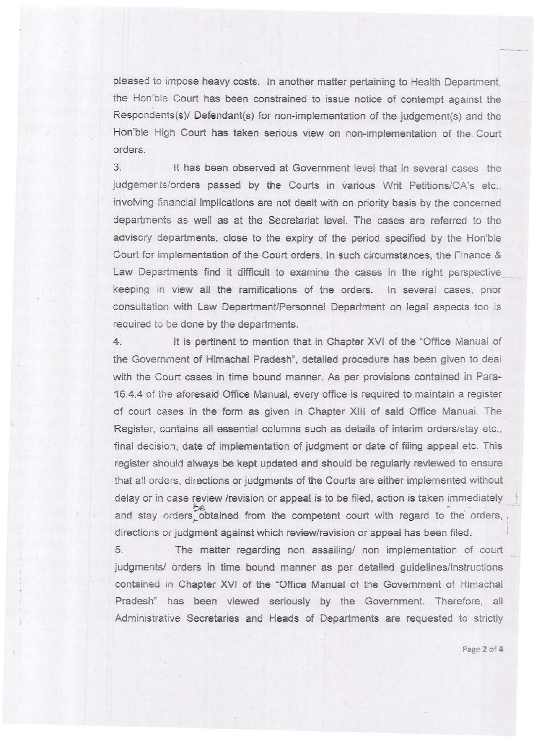pleased to impose heavy costs. In another matter pertaining to Health Department, the Hon'ble Court has been constrained to issue notice of contempt against the Respondents(s)/ Defendant(s) for non-implementation of the judgement(s) and the Hon'ble High Court has taken serious view on non-implementation of the Court orders.

3. It has been observed at Government level that in several cases the judgements/orders passed by the Courts in various Writ Petitions/OA's etc., involving financial implications are not dealt with on priority basis by the concerned departments as well as at the Secretariat level. The cases are referred to the advisory departments, close to the expiry of the period specified by the Hon'ble Court for implementation of the Court orders. In such circumstances, the Finance & Law Departments find it difficult to examine the cases in the right perspective keeping in view all the ramifications of the orders. In several cases, prior consultation with Law Department/Personnel Department on legal aspects too is required to be done by the departments.

4. It is pertinent to mention that in Chapter XVI of the 'Office Manual of the Government of Himachal Pradesh", detailed procedure has been given to deal with the Court cases in time bound manner. As per provisions contained in Para-16.4.4 of the aforesaid Office Manual, every office is required to maintain a register of court cases in the form as given in Chapter XIII of said Office Manual. The Register, contains all essential columns such as details of interim orders/stay etc., final decision, date of implementation of judgment or date of filing appeal etc. This register should always be kept updated and should be regularly reviewed to ensure that all orders, directions or judgments of the Courts are either implemented without delay or in case review /revision or appeal is to be filed, action is taken immediately<br>and stay orders obtained from the competent court with regard to the orders, directions or judgment against which review/revision or appeal has been filed.

5. The matter regarding non assailing/ non implementation of court judgments/ orders in time bound manner as per detailed guidelines/instructions contained in Chapter XVI of the "Office Manua! of the Government of Himachal Pradesh" has been viewed seriously by the Government. Therefore, all Administrative Secretaries and Heads of Departments are requested to strictly

Page 2 of 4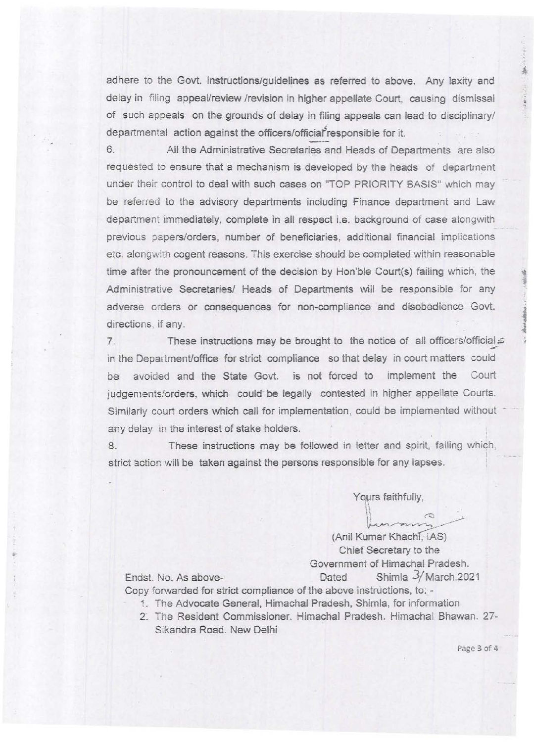adhere to the Govt. instructions/guidelines as referred to above. Any laxity and delay in filing appeal/review /revision in higher appellate Court, causing dismissal of such appeals on the grounds of delay in filing appeals can lead to disciplinary/ departmental action against the officers/official responsible for it.

6. All the Administrative Secretaries and Heads of Departments are also req uested to ensure that a mechanism is developed by the heads of departrnent under their control to deal with such cases on "TOP PRIORITY BASIS" which may be referred to the advisory departments including Finance department and Law department immediately, complete in all respect i.e. background of case alongwith previous papersiorders, number of beneficiaries, additional financial implications etc. along with cogent reasons. This exercise should be completed within reasonable time after the pronouncement of the decision by Hon'ble Court(s) failing which, the Administrative Secretaries/ Heads of Departments will be responsible for any adverse orders or consequences for non-compliance and disobedience Govt. directions, if any.

7. These instructions may be brought to the notice of all officers/official  $\leq$ in the Department/office for strict compliance so that delay in court matters could be avoided and the State Govt. is not forced to implement the Court judgements/orders, which could be legally contested in higher appellate Courts. Similarly court orders which call for implementation, could be implemented without any delay in the interest of stake holders.

8. These instructions may be followed in letter and spirit, failing which, strict action will be taken against the persons responsible for any lapses.

Yours faithfully,

(Anil Kumar Khachi, IAS) Chief Secretary to the Government of Himachal Pradesh. Dated Shimla 3/March, 2021

Endst. No. As above-Copy forwarded for strict compliance of the above instructions, to: -

- 1. The Advocate General, Himachal Pradesh, Shimla, for information
- 2. The Resident Commissioner. Himachal Pradesh. Himachal Bhawan. 27-Sikandra Road. New Delhi

Page 3 of 4

•

111001-00

distant in them is